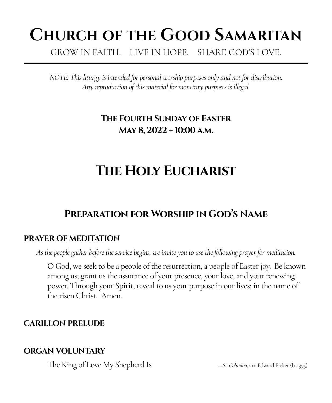# **CHURCH OF THE GOOD SAMARITAN**

GROW IN FAITH. LIVE IN HOPE. SHARE GOD'S LOVE.

*NOTE: This liturgy is intended for personal worship purposes only and not for distribution. Any reproduction of this material for monetary purposes is illegal.*

# **The Fourth Sunday of Easter May 8, 2022 + 10:00 a.m.**

# **The Holy Eucharist**

# **Preparation for Worship in God's Name**

# **PRAYER OF MEDITATION**

*As the people gather before the service begins, we invite you to use the following prayer for meditation.*

O God, we seek to be a people of the resurrection, a people of Easter joy. Be known among us; grant us the assurance of your presence, your love, and your renewing power. Through your Spirit, reveal to us your purpose in our lives; in the name of the risen Christ. Amen.

# **CARILLON PRELUDE**

# **ORGAN VOLUNTARY**

The King of Love My Shepherd Is *—St. Columba*, arr. Edward Eicker (b. 1975)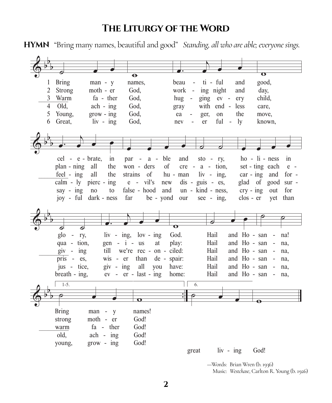# THE LITURGY OF THE WORD

HYMN "Bring many names, beautiful and good" Standing, all who are able; everyone sings.

|                |                                 |                       |                          | $\ddot{\boldsymbol{\Theta}}$      |           |                    |                          |                    |                          |           | $\overline{O}$     |                          |         |
|----------------|---------------------------------|-----------------------|--------------------------|-----------------------------------|-----------|--------------------|--------------------------|--------------------|--------------------------|-----------|--------------------|--------------------------|---------|
| $\mathbf{1}$   | <b>Bring</b>                    |                       | $man - y$                | names,                            |           | beau               | $\overline{\phantom{a}}$ | ti - ful           |                          | and       | good,              |                          |         |
| $\overline{2}$ | Strong                          |                       | moth - er                | God,                              |           | work -             |                          | ing night          |                          | and       | day,               |                          |         |
|                | 3 Warm                          |                       | fa - ther                | God,                              |           | hug                | $\overline{\phantom{a}}$ | $\frac{1}{2}$      | $ev -$                   | ery       | child,             |                          |         |
| $\overline{4}$ | Old,                            |                       | $ach - ing$              | God,                              |           | gray               |                          | with end -         |                          | less      | care,              |                          |         |
| 5              | Young,                          |                       | $grow - ing$             | God.                              |           | ea                 | ger,                     | on                 |                          | the       | move,              |                          |         |
| 6              | Great,                          |                       | $\frac{1}{\sqrt{2}}$ ing | God,                              |           | nev                | er                       | ful                | $\overline{\phantom{a}}$ | ly        | known,             |                          |         |
|                |                                 |                       |                          |                                   |           |                    |                          |                    |                          |           |                    |                          |         |
|                |                                 |                       |                          |                                   |           |                    |                          |                    |                          |           |                    |                          |         |
|                |                                 |                       |                          |                                   |           |                    |                          |                    |                          |           |                    |                          |         |
|                |                                 |                       |                          |                                   |           |                    |                          |                    |                          |           |                    |                          |         |
|                |                                 | cel - e - brate,      | in                       | par<br>$\sim$                     | $a -$     | ble<br>and         |                          | $sto - ry$ ,       |                          |           | $ho - li - ness$   |                          | in      |
|                | plan - ning all                 |                       | the                      | won - ders                        |           | of                 |                          | $cre - a - tion,$  |                          |           | set - ting each    |                          | $e -$   |
|                | $feel - ing$                    | all                   | the                      | strains of                        |           | hu - man           |                          | $\sin$ - $\sin$ g, |                          |           | $car - ing$        | and                      | for $-$ |
|                | calm - $ly$ pierc - ing         |                       |                          | $e$ - $vil's$                     |           | new                |                          | $dis - guis - es,$ |                          |           | glad of good       |                          | $sur -$ |
|                | say - $ing$                     | $\overline{p}$        | to                       | false - hood                      |           | and                |                          | un - kind - ness,  |                          |           | $\text{cry}$ - ing | out                      | for     |
|                |                                 | joy - ful dark - ness |                          | far                               | be - yond | our                |                          | $\sec$ - ing.      |                          | clos - er |                    | yet                      | than    |
|                |                                 |                       |                          |                                   |           |                    |                          |                    |                          |           |                    |                          |         |
|                |                                 |                       |                          |                                   |           |                    |                          |                    |                          |           |                    |                          |         |
|                |                                 |                       |                          |                                   |           |                    |                          |                    |                          |           |                    |                          |         |
|                |                                 |                       |                          |                                   |           | $\bullet$          |                          |                    |                          |           |                    |                          |         |
|                | glo<br>$\overline{\phantom{a}}$ | ry,                   |                          | $\sin$ - $\sin$ , $\cos$ - $\sin$ |           | God.               |                          | Hail               |                          |           | and Ho - san       | $\overline{\phantom{a}}$ | na!     |
|                | qua - tion,                     |                       |                          | $gen - i - us$                    | at        | play:              |                          | Hail               |                          |           | and Ho - san       | $\sim$                   | na,     |
|                | $giv - ing$                     |                       | till                     | we're rec - on - ciled:           |           |                    |                          | Hail               |                          |           | and Ho - san       | $\sim$                   | na,     |
|                | pris - $es$ ,                   |                       | $wis - er$               | than                              |           | de - spair:        |                          | Hail               |                          |           | and Ho - san       | $\sim$                   | na,     |
|                | jus - tice,                     |                       | $giv - ing$              | all                               | you       | have:              |                          | Hail               |                          |           | and Ho - san       | $\sim$                   | na,     |
|                | breath - ing,                   |                       |                          | $ev - er - last - ing$            |           | home:              |                          | Hail               |                          |           | and Ho - san       | $\overline{\phantom{a}}$ | na,     |
|                | $1-5.$                          |                       |                          |                                   |           |                    |                          |                    |                          |           |                    |                          |         |
|                |                                 |                       |                          |                                   |           |                    | 6.                       |                    |                          |           |                    |                          |         |
|                |                                 |                       |                          |                                   |           | $\overline{\cdot}$ |                          |                    |                          |           |                    |                          |         |
|                |                                 |                       |                          | $\mathbf o$                       |           |                    |                          |                    |                          |           |                    |                          |         |
|                | <b>Bring</b>                    | man -                 | y                        | names!                            |           |                    |                          |                    |                          |           |                    |                          |         |
|                | strong                          |                       | moth - er                | God!                              |           |                    |                          |                    |                          |           |                    |                          |         |
|                | warm                            |                       | $fa - ther$              | God!                              |           |                    |                          |                    |                          |           |                    |                          |         |
|                | old,                            |                       | $ach - ing$              | God!                              |           |                    |                          |                    |                          |           |                    |                          |         |
|                | young,                          |                       | $grow - ing$             | God!                              |           |                    |                          |                    |                          |           |                    |                          |         |
|                |                                 |                       |                          |                                   |           |                    | great                    | $\ln y - \ln y$    |                          |           | God!               |                          |         |
|                |                                 |                       |                          |                                   |           |                    |                          |                    |                          |           |                    |                          |         |

-Words: Brian Wren (b. 1936) Music: Westchase, Carlton R. Young (b. 1926)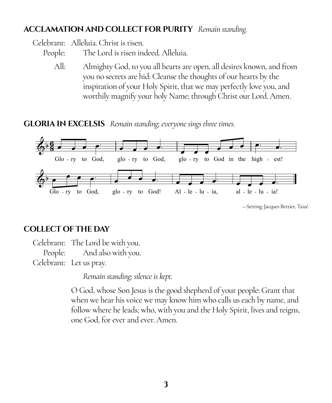## **ACCLAMATION AND COLLECT FOR PURITY** *Remain standing.*

Celebrant: Alleluia. Christ is risen.

People: The Lord is risen indeed. Alleluia.

All: Almighty God, to you all hearts are open, all desires known, and from you no secrets are hid: Cleanse the thoughts of our hearts by the inspiration of your Holy Spirit, that we may perfectly love you, and worthily magnify your holy Name; through Christ our Lord. Amen.

**GLORIA IN EXCELSIS** *Remain standing; everyone sings three times.*



—Setting: Jacques Bertier, Taizé

#### **COLLECT OF THE DAY**

Celebrant: The Lord be with you. People: And also with you. Celebrant: Let us pray.

*Remain standing; silence is kept.*

O God, whose Son Jesus is the good shepherd of your people: Grant that when we hear his voice we may know him who calls us each by name, and follow where he leads; who, with you and the Holy Spirit, lives and reigns, one God, for ever and ever. Amen.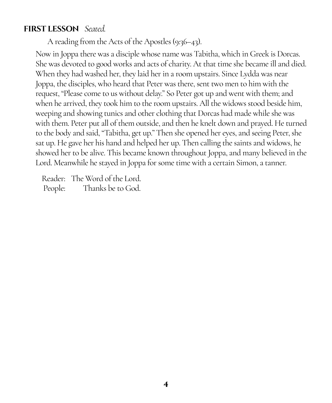# **FIRST LESSON** *Seated.*

A reading from the Acts of the Apostles (9:36–43).

Now in Joppa there was a disciple whose name was Tabitha, which in Greek is Dorcas. She was devoted to good works and acts of charity. At that time she became ill and died. When they had washed her, they laid her in a room upstairs. Since Lydda was near Joppa, the disciples, who heard that Peter was there, sent two men to him with the request, "Please come to us without delay." So Peter got up and went with them; and when he arrived, they took him to the room upstairs. All the widows stood beside him, weeping and showing tunics and other clothing that Dorcas had made while she was with them. Peter put all of them outside, and then he knelt down and prayed. He turned to the body and said, "Tabitha, get up." Then she opened her eyes, and seeing Peter, she sat up. He gave her his hand and helped her up. Then calling the saints and widows, he showed her to be alive. This became known throughout Joppa, and many believed in the Lord. Meanwhile he stayed in Joppa for some time with a certain Simon, a tanner.

Reader: The Word of the Lord. People: Thanks be to God.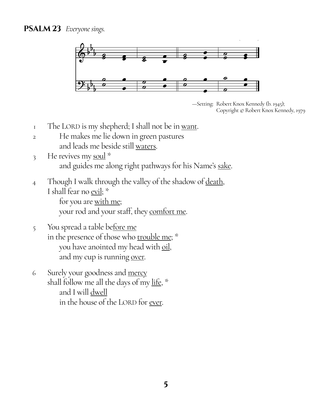

<sup>—</sup>Setting: Robert Knox Kennedy (b. 1945); Copyright © Robert Knox Kennedy, 1979

- $\frac{1}{1}$  The LORD is my shepherd; I shall not be in <u>want</u>.
- 2 He makes me lie down in green pastures and leads me beside still waters.
- 3 He revives my soul  $*$ and guides me along right pathways for his Name's sake.
- 4 Though I walk through the valley of the shadow of death, I shall fear no evil; \*

for you are with me; your rod and your staff, they comfort me.

- 5 You spread a table before me in the presence of those who trouble me; \* you have anointed my head with oil, and my cup is running over.
- 6 Surely your goodness and mercy shall follow me all the days of my life, \* and I will dwell in the house of the LORD for ever.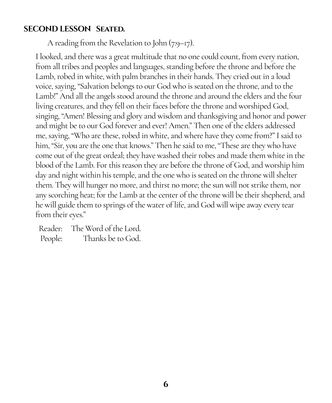# **SECOND LESSON Seated.**

A reading from the Revelation to John (7:9–17).

I looked, and there was a great multitude that no one could count, from every nation, from all tribes and peoples and languages, standing before the throne and before the Lamb, robed in white, with palm branches in their hands. They cried out in a loud voice, saying, "Salvation belongs to our God who is seated on the throne, and to the Lamb!" And all the angels stood around the throne and around the elders and the four living creatures, and they fell on their faces before the throne and worshiped God, singing, "Amen! Blessing and glory and wisdom and thanksgiving and honor and power and might be to our God forever and ever! Amen." Then one of the elders addressed me, saying, "Who are these, robed in white, and where have they come from?" I said to him, "Sir, you are the one that knows." Then he said to me, "These are they who have come out of the great ordeal; they have washed their robes and made them white in the blood of the Lamb. For this reason they are before the throne of God, and worship him day and night within his temple, and the one who is seated on the throne will shelter them. They will hunger no more, and thirst no more; the sun will not strike them, nor any scorching heat; for the Lamb at the center of the throne will be their shepherd, and he will guide them to springs of the water of life, and God will wipe away every tear from their eyes."

Reader: The Word of the Lord. People: Thanks be to God.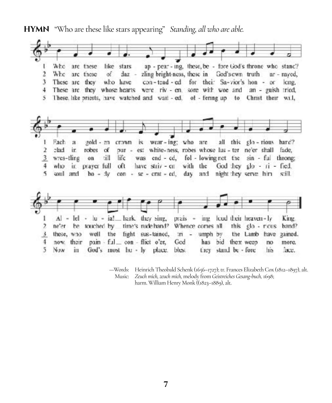**HYMN** "Who are these like stars appearing" *Standing, all who are able.*



—Words: Heinrich Theobald Schenk (1656–1727); tr. Frances Elizabeth Cox (1812–1897), alt. Music: *Zeuch mich, zeuch mich,* melody from *Geistreiches Gesang-buch,* 1698; harm. William Henry Monk ((1823–1889), alt.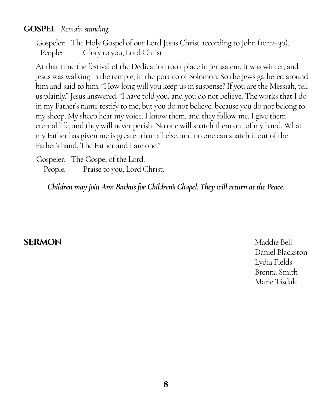# **GOSPEL** *Remain standing.*

Gospeler: The Holy Gospel of our Lord Jesus Christ according to John (10:22–30). People: Glory to you, Lord Christ.

At that time the festival of the Dedication took place in Jerusalem. It was winter, and Jesus was walking in the temple, in the portico of Solomon. So the Jews gathered around him and said to him, "How long will you keep us in suspense? If you are the Messiah, tell us plainly." Jesus answered, "I have told you, and you do not believe. The works that I do in my Father's name testify to me; but you do not believe, because you do not belong to my sheep. My sheep hear my voice. I know them, and they follow me. I give them eternal life, and they will never perish. No one will snatch them out of my hand. What my Father has given me is greater than all else, and no one can snatch it out of the Father's hand. The Father and I are one."

Gospeler: The Gospel of the Lord. People: Praise to you, Lord Christ.

*Children may join Ann Backus for Children's Chapel. They will return at the Peace.*

# **SERMON** Maddie Bell

Daniel Blackston Lydia Fields Brenna Smith Marie Tisdale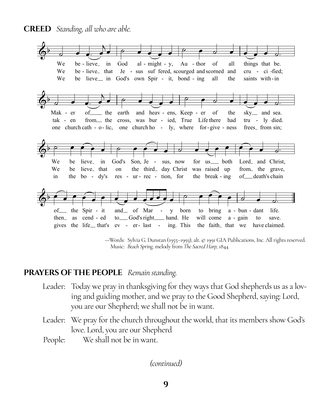**CREED** Standing, all who are able.



-Words: Sylvia G. Dunstan (1955-1993), alt. @ 1991 GIA Publications, Inc. All rights reserved. Music: Beach Spring, melody from The Sacred Harp, 1844

#### **PRAYERS OF THE PEOPLE** Remain standing.

- Leader: Today we pray in thanksgiving for they ways that God shepherds us as a loving and guiding mother, and we pray to the Good Shepherd, saying: Lord, you are our Shepherd; we shall not be in want.
- Leader: We pray for the church throughout the world, that its members show God's love. Lord, you are our Shepherd
- We shall not be in want. People: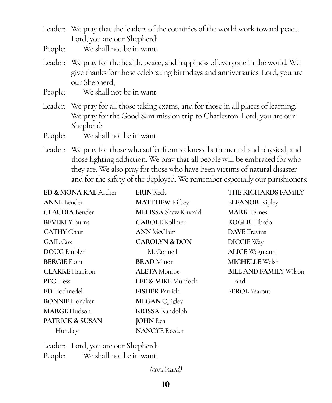- Leader: We pray that the leaders of the countries of the world work toward peace. Lord, you are our Shepherd;
- People: We shall not be in want.
- Leader: We pray for the health, peace, and happiness of everyone in the world. We give thanks for those celebrating birthdays and anniversaries. Lord, you are our Shepherd;
- People: We shall not be in want.
- Leader: We pray for all those taking exams, and for those in all places of learning. We pray for the Good Sam mission trip to Charleston. Lord, you are our Shepherd;
- People: We shall not be in want.
- Leader: We pray for those who suffer from sickness, both mental and physical, and those fighting addiction. We pray that all people will be embraced for who they are. We also pray for those who have been victims of natural disaster and for the safety of the deployed. We remember especially our parishioners:

| <b>ED &amp; MONA RAE</b> Archer | <b>ERIN</b> Keck              | THE RICHARDS FAMILY           |  |  |  |  |
|---------------------------------|-------------------------------|-------------------------------|--|--|--|--|
| <b>ANNE</b> Bender              | <b>MATTHEW Kilbey</b>         | <b>ELEANOR Ripley</b>         |  |  |  |  |
| <b>CLAUDIA</b> Bender           | <b>MELISSA</b> Shaw Kincaid   | <b>MARK</b> Ternes            |  |  |  |  |
| <b>BEVERLY</b> Burns            | <b>CAROLE</b> Kollmer         | <b>ROGER</b> Tibedo           |  |  |  |  |
| <b>CATHY</b> Chait              | <b>ANN</b> McClain            | <b>DAVE</b> Travins           |  |  |  |  |
| <b>GAIL</b> Cox                 | <b>CAROLYN &amp; DON</b>      | <b>DICCIE</b> Way             |  |  |  |  |
| <b>DOUG</b> Embler              | McConnell                     | <b>ALICE</b> Wegmann          |  |  |  |  |
| <b>BERGIE Flom</b>              | <b>BRAD</b> Minor             | <b>MICHELLE Welsh</b>         |  |  |  |  |
| <b>CLARKE</b> Harrison          | <b>ALETA</b> Monroe           | <b>BILL AND FAMILY Wilson</b> |  |  |  |  |
| <b>PEG Hess</b>                 | <b>LEE &amp; MIKE</b> Murdock | and                           |  |  |  |  |
| <b>ED</b> Hochnedel             | <b>FISHER Patrick</b>         | <b>FEROL</b> Yearout          |  |  |  |  |
| <b>BONNIE</b> Honaker           | <b>MEGAN</b> Quigley          |                               |  |  |  |  |
| <b>MARGE Hudson</b>             | <b>KRISSA</b> Randolph        |                               |  |  |  |  |
| <b>PATRICK &amp; SUSAN</b>      | <b>JOHN</b> Rea               |                               |  |  |  |  |
| Hundley                         | <b>NANCYE</b> Reeder          |                               |  |  |  |  |

Leader: Lord, you are our Shepherd; People: We shall not be in want.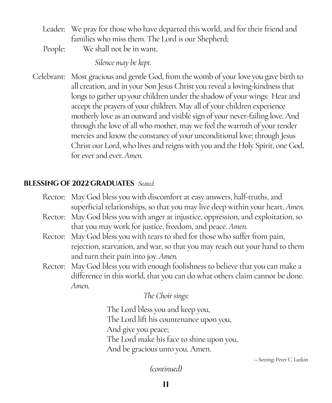- Leader: We pray for those who have departed this world, and for their friend and families who miss them. The Lord is our Shepherd;
- People: We shall not be in want.

*Silence may be kept.*

Celebrant: Most gracious and gentle God, from the womb of your love you gave birth to all creation, and in your Son Jesus Christ you reveal a loving-kindness that longs to gather up your children under the shadow of your wings: Hear and accept the prayers of your children. May all of your children experience motherly love as an outward and visible sign of your never-failing love. And through the love of all who mother, may we feel the warmth of your tender mercies and know the constancy of your unconditional love; through Jesus Christ our Lord, who lives and reigns with you and the Holy Spirit, one God, for ever and ever. *Amen.*

# **BLESSING OF 2022 GRADUATES** *Seated.*

- Rector: May God bless you with discomfort at easy answers, half-truths, and superficial relationships, so that you may live deep within your heart. *Amen.*
- Rector: May God bless you with anger at injustice, oppression, and exploitation, so that you may work for justice, freedom, and peace. *Amen.*
- Rector: May God bless you with tears to shed for those who suffer from pain, rejection, starvation, and war, so that you may reach out your hand to them and turn their pain into joy. *Amen.*
- Rector: May God bless you with enough foolishness to believe that you can make a difference in this world, that you can do what others claim cannot be done. *Amen.*

# *The Choir sings:*

The Lord bless you and keep you, The Lord lift his countenance upon you, And give you peace; The Lord make his face to shine upon you, And be gracious unto you. Amen.

—Setting: Peter C. Lutkin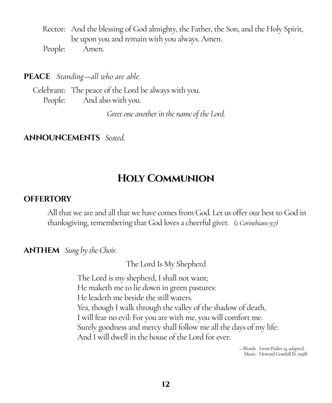Rector: And the blessing of God almighty, the Father, the Son, and the Holy Spirit, be upon you and remain with you always. Amen. People: Amen.

**PEACE** *Standing—all who are able.*

Celebrant: The peace of the Lord be always with you. People: And also with you.

*Greet one another in the name of the Lord.*

### **ANNOUNCEMENTS** *Seated.*

# **Holy Communion**

#### **OFFERTORY**

All that we are and all that we have comes from God. Let us offer our best to God in thanksgiving, remembering that God loves a cheerful giver. *(2 Corinthians 9:7)*

**ANTHEM** *Sung by the Choir.*

The Lord Is My Shepherd

The Lord is my shepherd, I shall not want; He maketh me to lie down in green pastures: He leadeth me beside the still waters. Yea, though I walk through the valley of the shadow of death, I will fear no evil: For you are with me, you will comfort me. Surely goodness and mercy shall follow me all the days of my life: And I will dwell in the house of the Lord for ever.

> —Words: From Psalm 23, adapted. Music: Howard Goodall (b. 1958)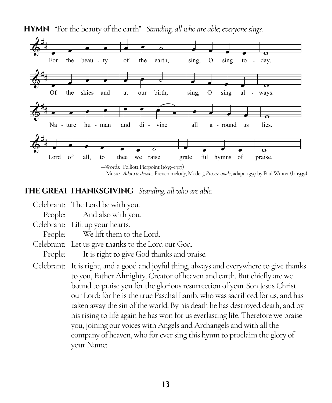

**HYMN** "For the beauty of the earth" *Standing, all who are able; everyone sings.*

### **THE GREAT THANKSGIVING** *Standing, all who are able.*

Celebrant: The Lord be with you. People: And also with you. Celebrant: Lift up your hearts. People: We lift them to the Lord. Celebrant: Let us give thanks to the Lord our God. People: It is right to give God thanks and praise. Celebrant: It is right, and a good and joyful thing, always and everywhere to give thanks to you, Father Almighty, Creator of heaven and earth. But chiefly are we bound to praise you for the glorious resurrection of your Son Jesus Christ our Lord; for he is the true Paschal Lamb, who was sacrificed for us, and has taken away the sin of the world. By his death he has destroyed death, and by his rising to life again he has won for us everlasting life. Therefore we praise you, joining our voices with Angels and Archangels and with all the company of heaven, who for ever sing this hymn to proclaim the glory of your Name: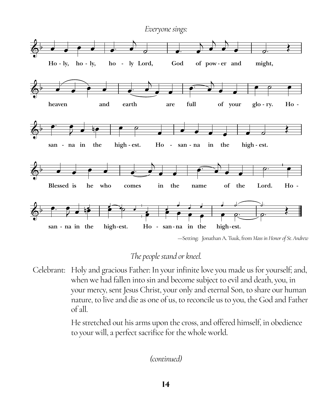

<sup>—</sup>Setting: Jonathan A. Tuuk, from *Mass in Honor of St. Andrew*

# *The people stand or kneel.*

Celebrant: Holy and gracious Father: In your infinite love you made us for yourself; and, when we had fallen into sin and become subject to evil and death, you, in your mercy, sent Jesus Christ, your only and eternal Son, to share our human nature, to live and die as one of us, to reconcile us to you, the God and Father of all.

> He stretched out his arms upon the cross, and offered himself, in obedience to your will, a perfect sacrifice for the whole world.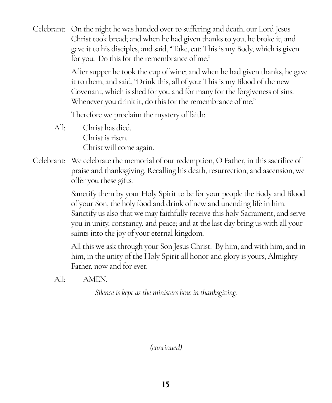Celebrant: On the night he was handed over to suffering and death, our Lord Jesus Christ took bread; and when he had given thanks to you, he broke it, and gave it to his disciples, and said, "Take, eat: This is my Body, which is given for you. Do this for the remembrance of me."

> After supper he took the cup of wine; and when he had given thanks, he gave it to them, and said, "Drink this, all of you: This is my Blood of the new Covenant, which is shed for you and for many for the forgiveness of sins. Whenever you drink it, do this for the remembrance of me."

Therefore we proclaim the mystery of faith:

- All: Christ has died. Christ is risen. Christ will come again.
- Celebrant: We celebrate the memorial of our redemption, O Father, in this sacrifice of praise and thanksgiving. Recalling his death, resurrection, and ascension, we offer you these gifts.

Sanctify them by your Holy Spirit to be for your people the Body and Blood of your Son, the holy food and drink of new and unending life in him. Sanctify us also that we may faithfully receive this holy Sacrament, and serve you in unity, constancy, and peace; and at the last day bring us with all your saints into the joy of your eternal kingdom.

All this we ask through your Son Jesus Christ. By him, and with him, and in him, in the unity of the Holy Spirit all honor and glory is yours, Almighty Father, now and for ever.

All: AMEN.

*Silence is kept as the ministers bow in thanksgiving.*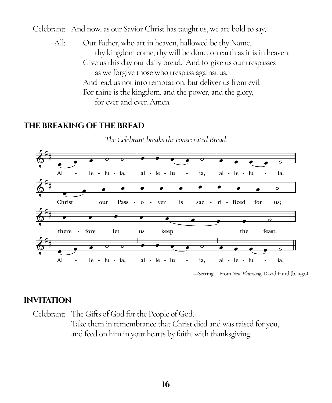Celebrant: And now, as our Savior Christ has taught us, we are bold to say,

All: Our Father, who art in heaven, hallowed be thy Name, thy kingdom come, thy will be done, on earth as it is in heaven. Give us this day our daily bread. And forgive us our trespasses as we forgive those who trespass against us. And lead us not into temptation, but deliver us from evil. For thine is the kingdom, and the power, and the glory, for ever and ever. Amen.

#### **THE BREAKING OF THE BREAD**



#### **INVITATION**

Celebrant: The Gifts of God for the People of God. Take them in remembrance that Christ died and was raised for you, and feed on him in your hearts by faith, with thanksgiving.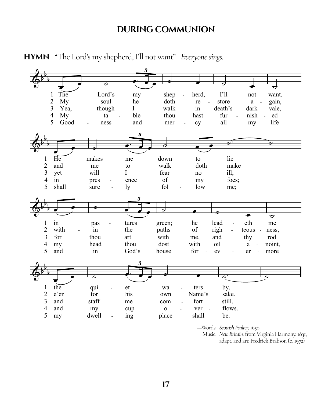#### **DURING COMMUNION**



HYMN "The Lord's my shepherd, I'll not want" Everyone sings.

-Words: Scottish Psalter, 1650

Music: New Britain, from Virginia Harmony, 1831, adapt. and arr. Fredrick Brabson (b. 1972)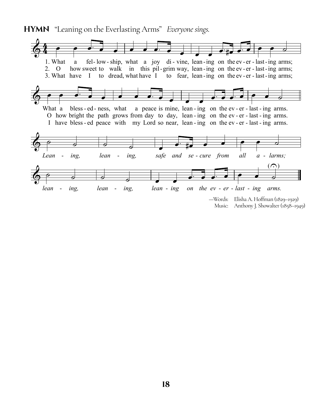**HYMN** "Leaning on the Everlasting Arms" *Everyone sings.*

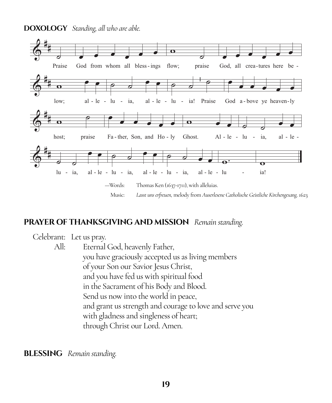**DOXOLOGY** Standing, all who are able.



#### **PRAYER OF THANKSGIVING AND MISSION** Remain standing.

Celebrant: Let us pray.

 $All.$ Eternal God, heavenly Father, you have graciously accepted us as living members of your Son our Savior Jesus Christ, and you have fed us with spiritual food in the Sacrament of his Body and Blood. Send us now into the world in peace, and grant us strength and courage to love and serve you with gladness and singleness of heart; through Christ our Lord. Amen.

**BLESSING** Remain standing.